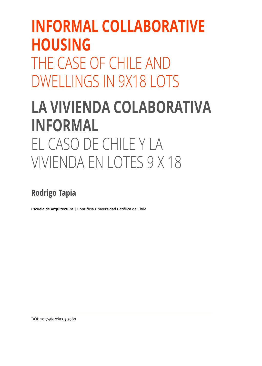## **INFORMAL COLLABORATIVE HOUSING** THE CASE OF CHILE AND DWELLINGS IN 9X18 LOTS **LA VIVIENDA COLABORATIVA INFORMAL**  EL CASO DE CHILE Y LA

# VIVIENDA EN LOTES 9 X 18

## **Rodrigo Tapia**

**Escuela de Arquitectura | Pontificia Universidad Católica de Chile**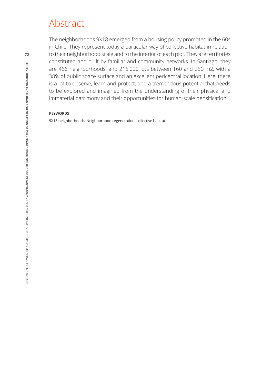### Abstract

The neighborhoods 9X18 emerged from a housing policy promoted in the 60s in Chile. They represent today a particular way of collective habitat in relation to their neighborhood scale and to the interior of each plot. They are territories constituted and built by familiar and community networks. In Santiago, they are 466 neighborhoods, and 216.000 lots between 160 and 250 m2, with a 38% of public space surface and an excellent pericentral location. Here, there is a lot to observe, learn and protect; and a tremendous potential that needs to be explored and imagined from the understanding of their physical and immaterial patrimony and their opportunities for human-scale densification.

#### **KEYWORDS**

9X18 neighborhoods, Neighborhood regeneration, collective habitat.

**72**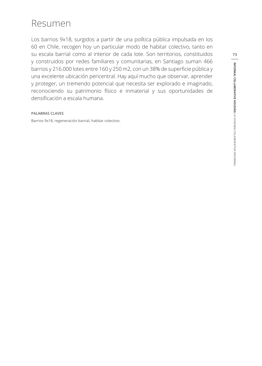## Resumen

Los barrios 9x18, surgidos a partir de una política pública impulsada en los 60 en Chile, recogen hoy un particular modo de habitar colectivo, tanto en su escala barrial como al interior de cada lote. Son territorios, constituidos y construidos por redes familiares y comunitarias, en Santiago suman 466 barrios y 216.000 lotes entre 160 y 250 m2, con un 38% de superficie pública y una excelente ubicación pericentral. Hay aquí mucho que observar, aprender y proteger, un tremendo potencial que necesita ser explorado e imaginado, reconociendo su patrimonio físico e inmaterial y sus oportunidades de densificación a escala humana.

#### **PALABRAS CLAVES**

Barrios 9x18, regeneración barrial, habitar colectivo.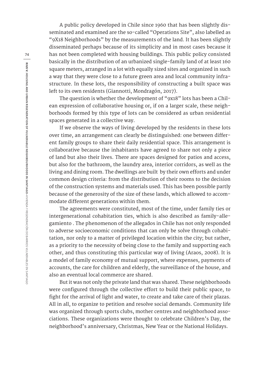A public policy developed in Chile since 1960 that has been slightly disseminated and examined are the so-called "Operations Site", also labelled as "9X18 Neighborhoods" by the measurements of the land. It has been slightly disseminated perhaps because of its simplicity and in most cases because it has not been completed with housing buildings. This public policy consisted basically in the distribution of an urbanized single-family land of at least 160 square meters, arranged in a lot with equally sized sites and organized in such a way that they were close to a future green area and local community infrastructure. In these lots, the responsibility of constructing a built space was left to its own residents (Giannotti, Mondragón, 2017).

The question is whether the development of "9x18" lots has been a Chilean expression of collaborative housing or, if on a larger scale, these neighborhoods formed by this type of lots can be considered as urban residential spaces generated in a collective way.

If we observe the ways of living developed by the residents in these lots over time, an arrangement can clearly be distinguished: one between different family groups to share their daily residential space. This arrangement is collaborative because the inhabitants have agreed to share not only a piece of land but also their lives. There are spaces designed for patios and access, but also for the bathroom, the laundry area, interior corridors, as well as the living and dining room. The dwellings are built by their own efforts and under common design criteria: from the distribution of their rooms to the decision of the construction systems and materials used. This has been possible partly because of the generosity of the size of these lands, which allowed to accommodate different generations within them.

The agreements were constituted, most of the time, under family ties or intergenerational cohabitation ties, which is also described as family-allegamiento . The phenomenon of the allegados in Chile has not only responded to adverse socioeconomic conditions that can only be solve through cohabitation, nor only to a matter of privileged location within the city; but rather, as a priority to the necessity of being close to the family and supporting each other, and thus constituting this particular way of living (Araos, 2008). It is a model of family economy of mutual support, where expenses, payments of accounts, the care for children and elderly, the surveillance of the house, and also an eventual local commerce are shared.

But it was not only the private land that was shared. These neighborhoods were configured through the collective effort to build their public space, to fight for the arrival of light and water, to create and take care of their plazas. All in all, to organize to petition and resolve social demands. Community life was organized through sports clubs, mother centres and neighborhood associations. These organizations were thought to celebrate Children's Day, the neighborhood's anniversary, Christmas, New Year or the National Holidays.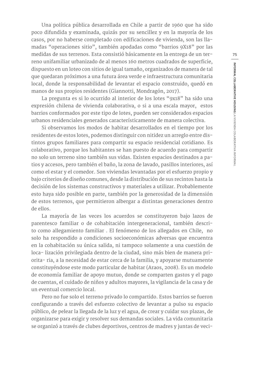Una política pública desarrollada en Chile a partir de 1960 que ha sido poco difundida y examinada, quizás por su sencillez y en la mayoría de los casos, por no haberse completado con edificaciones de vivienda, son las llamadas "operaciones sitio", también apodadas como "barrios 9X18" por las medidas de sus terrenos. Esta consistió básicamente en la entrega de un terreno unifamiliar urbanizado de al menos 160 metros cuadrados de superficie, dispuesto en un loteo con sitios de igual tamaño, organizados de manera de tal que quedaran próximos a una futura área verde e infraestructura comunitaria local, donde la responsabilidad de levantar el espacio construido, quedó en manos de sus propios residentes (Giannotti, Mondragón, 2017).

La pregunta es si lo ocurrido al interior de los lotes "9x18" ha sido una expresión chilena de vivienda colaborativa, o si a una escala mayor, estos barrios conformados por este tipo de lotes, pueden ser considerados espacios urbanos residenciales generados característicamente de manera colectiva.

Si observamos los modos de habitar desarrollados en el tiempo por los residentes de estos lotes, podemos distinguir con nitidez un arreglo entre distintos grupos familiares para compartir su espacio residencial cotidiano. Es colaborativo, porque los habitantes se han puesto de acuerdo para compartir no solo un terreno sino también sus vidas. Existen espacios destinados a patios y accesos, pero también el baño, la zona de lavado, pasillos interiores, así como el estar y el comedor. Son viviendas levantadas por el esfuerzo propio y bajo criterios de diseño comunes, desde la distribución de sus recintos hasta la decisión de los sistemas constructivos y materiales a utilizar. Probablemente esto haya sido posible en parte, también por la generosidad de la dimensión de estos terrenos, que permitieron albergar a distintas generaciones dentro de ellos.

La mayoría de las veces los acuerdos se constituyeron bajo lazos de parentesco familiar o de cohabitación intergeneracional, también descrito como allegamiento familiar . El fenómeno de los allegados en Chile, no solo ha respondido a condiciones socioeconómicas adversas que encuentra en la cohabitación su única salida, ni tampoco solamente a una cuestión de loca- lización privilegiada dentro de la ciudad, sino más bien de manera priorita- ria, a la necesidad de estar cerca de la familia, y apoyarse mutuamente constituyéndose este modo particular de habitar (Araos, 2008). Es un modelo de economía familiar de apoyo mutuo, donde se comparten gastos y el pago de cuentas, el cuidado de niños y adultos mayores, la vigilancia de la casa y de un eventual comercio local.

Pero no fue solo el terreno privado lo compartido. Estos barrios se fueron configurando a través del esfuerzo colectivo de levantar a pulso su espacio público, de pelear la llegada de la luz y el agua, de crear y cuidar sus plazas, de organizarse para exigir y resolver sus demandas sociales. La vida comunitaria se organizó a través de clubes deportivos, centros de madres y juntas de veci-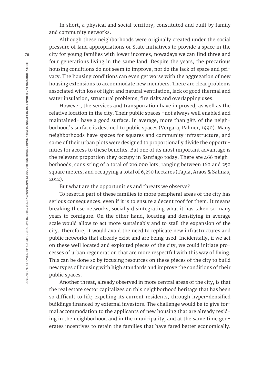In short, a physical and social territory, constituted and built by family and community networks.

Although these neighborhoods were originally created under the social pressure of land appropriations or State initiatives to provide a space in the city for young families with lower incomes, nowadays we can find three and four generations living in the same land. Despite the years, the precarious housing conditions do not seem to improve, nor do the lack of space and privacy. The housing conditions can even get worse with the aggregation of new housing extensions to accommodate new members. There are clear problems associated with loss of light and natural ventilation, lack of good thermal and water insulation, structural problems, fire risks and overlapping uses.

However, the services and transportation have improved, as well as the relative location in the city. Their public spaces -not always well enabled and maintained- have a good surface. In average, more than 38% of the neighborhood's surface is destined to public spaces (Vergara, Palmer, 1990). Many neighborhoods have spaces for squares and community infrastructure, and some of their urban plots were designed to proportionally divide the opportunities for access to these benefits. But one of its most important advantage is the relevant proportion they occupy in Santiago today. There are 466 neighborhoods, consisting of a total of 216,000 lots, ranging between 160 and 250 square meters, and occupying a total of 6,250 hectares (Tapia, Araos & Salinas, 2012).

But what are the opportunities and threats we observe?

To resettle part of these families to more peripheral areas of the city has serious consequences, even if it is to ensure a decent roof for them. It means breaking these networks, socially disintegrating what it has taken so many years to configure. On the other hand, locating and densifying in average scale would allow to act more sustainably and to stall the expansion of the city. Therefore, it would avoid the need to replicate new infrastructures and public networks that already exist and are being used. Incidentally, if we act on these well located and exploited pieces of the city, we could initiate processes of urban regeneration that are more respectful with this way of living. This can be done so by focusing resources on these pieces of the city to build new types of housing with high standards and improve the conditions of their public spaces.

Another threat, already observed in more central areas of the city, is that the real estate sector capitalizes on this neighborhood heritage that has been so difficult to lift; expelling its current residents, through hyper-densified buildings financed by external investors. The challenge would be to give formal accommodation to the applicants of new housing that are already residing in the neighborhood and in the municipality, and at the same time generates incentives to retain the families that have fared better economically.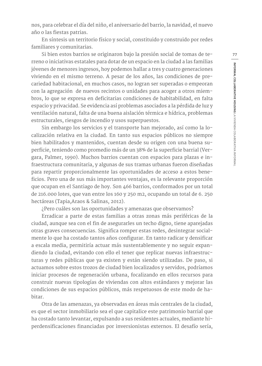nos, para celebrar el día del niño, el aniversario del barrio, la navidad, el nuevo año o las fiestas patrias.

En síntesis un territorio físico y social, constituido y construido por redes familiares y comunitarias.

Si bien estos barrios se originaron bajo la presión social de tomas de terreno o iniciativas estatales para dotar de un espacio en la ciudad a las familias jóvenes de menores ingresos, hoy podemos hallar a tres y cuatro generaciones viviendo en el mismo terreno. A pesar de los años, las condiciones de precariedad habitacional, en muchos casos, no logran ser superadas o empeoran con la agregación de nuevos recintos o unidades para acoger a otros miembros, lo que se expresa en deficitarias condiciones de habitabilidad, en falta espacio y privacidad. Se evidencia así problemas asociados a la pérdida de luz y ventilación natural, falta de una buena aislación térmica e hídrica, problemas estructurales, riesgos de incendio y usos superpuestos.

Sin embargo los servicios y el transporte han mejorado, así como la localización relativa en la ciudad. En tanto sus espacios públicos no siempre bien habilitados y mantenidos, cuentan desde su origen con una buena superficie, teniendo como promedio más de un 38% de la superficie barrial (Vergara, Palmer, 1990). Muchos barrios cuentan con espacios para plazas e infraestructura comunitaria, y algunas de sus tramas urbanas fueron diseñadas para repartir proporcionalmente las oportunidades de acceso a estos beneficios. Pero una de sus más importantes ventajas, es la relevante proporción que ocupan en el Santiago de hoy. Son 466 barrios, conformados por un total de 216.000 lotes, que van entre los 160 y 250 m2, ocupando un total de 6. 250 hectáreas (Tapia,Araos & Salinas, 2012).

¿Pero cuáles son las oportunidades y amenazas que observamos?

Erradicar a parte de estas familias a otras zonas más periféricas de la ciudad, aunque sea con el fin de asegurarles un techo digno, tiene aparejadas otras graves consecuencias. Significa romper estas redes, desintegrar socialmente lo que ha costado tantos años configurar. En tanto radicar y densificar a escala media, permitiría actuar más sustentablemente y no seguir expandiendo la ciudad, evitando con ello el tener que replicar nuevas infraestructuras y redes públicas que ya existen y están siendo utilizadas. De paso, si actuamos sobre estos trozos de ciudad bien localizados y servidos, podríamos iniciar procesos de regeneración urbana, focalizando en ellos recursos para construir nuevas tipologías de viviendas con altos estándares y mejorar las condiciones de sus espacios públicos, más respetuosos de este modo de habitar.

Otra de las amenazas, ya observadas en áreas más centrales de la ciudad, es que el sector inmobiliario sea el que capitalice este patrimonio barrial que ha costado tanto levantar, expulsando a sus residentes actuales, mediante hiperdensificaciones financiadas por inversionistas externos. El desafío sería,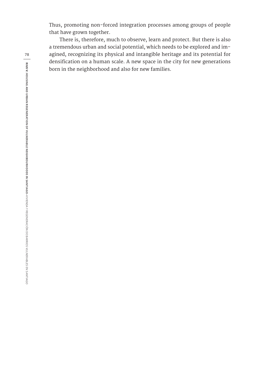Thus, promoting non-forced integration processes among groups of people that have grown together.

There is, therefore, much to observe, learn and protect. But there is also a tremendous urban and social potential, which needs to be explored and imagined, recognizing its physical and intangible heritage and its potential for densification on a human scale. A new space in the city for new generations born in the neighborhood and also for new families.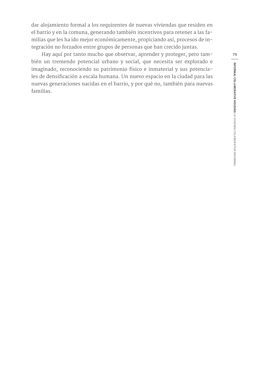dar alojamiento formal a los requirentes de nuevas viviendas que residen en el barrio y en la comuna, generando también incentivos para retener a las familias que les ha ido mejor económicamente, propiciando así, procesos de integración no forzados entre grupos de personas que han crecido juntas.

Hay aquí por tanto mucho que observar, aprender y proteger, pero también un tremendo potencial urbano y social, que necesita ser explorado e imaginado, reconociendo su patrimonio físico e inmaterial y sus potenciales de densificación a escala humana. Un nuevo espacio en la ciudad para las nuevas generaciones nacidas en el barrio, y por qué no, también para nuevas familias.